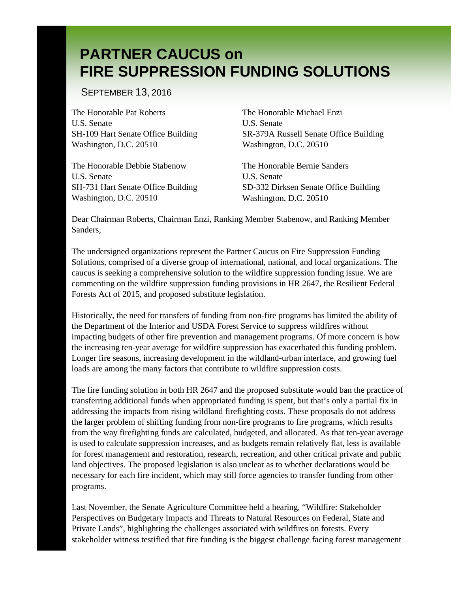SEPTEMBER 13, 2016

The Honorable Pat Roberts U.S. Senate SH-109 Hart Senate Office Building Washington, D.C. 20510

The Honorable Debbie Stabenow U.S. Senate SH-731 Hart Senate Office Building Washington, D.C. 20510

The Honorable Michael Enzi U.S. Senate SR-379A Russell Senate Office Building Washington, D.C. 20510

The Honorable Bernie Sanders U.S. Senate SD-332 Dirksen Senate Office Building Washington, D.C. 20510

Dear Chairman Roberts, Chairman Enzi, Ranking Member Stabenow, and Ranking Member Sanders,

The undersigned organizations represent the Partner Caucus on Fire Suppression Funding Solutions, comprised of a diverse group of international, national, and local organizations. The caucus is seeking a comprehensive solution to the wildfire suppression funding issue. We are commenting on the wildfire suppression funding provisions in HR 2647, the Resilient Federal Forests Act of 2015, and proposed substitute legislation.

Historically, the need for transfers of funding from non-fire programs has limited the ability of the Department of the Interior and USDA Forest Service to suppress wildfires without impacting budgets of other fire prevention and management programs. Of more concern is how the increasing ten-year average for wildfire suppression has exacerbated this funding problem. Longer fire seasons, increasing development in the wildland-urban interface, and growing fuel loads are among the many factors that contribute to wildfire suppression costs.

The fire funding solution in both HR 2647 and the proposed substitute would ban the practice of transferring additional funds when appropriated funding is spent, but that's only a partial fix in addressing the impacts from rising wildland firefighting costs. These proposals do not address the larger problem of shifting funding from non-fire programs to fire programs, which results from the way firefighting funds are calculated, budgeted, and allocated. As that ten-year average is used to calculate suppression increases, and as budgets remain relatively flat, less is available for forest management and restoration, research, recreation, and other critical private and public land objectives. The proposed legislation is also unclear as to whether declarations would be necessary for each fire incident, which may still force agencies to transfer funding from other programs.

Last November, the Senate Agriculture Committee held a hearing, "Wildfire: Stakeholder Perspectives on Budgetary Impacts and Threats to Natural Resources on Federal, State and Private Lands", highlighting the challenges associated with wildfires on forests. Every stakeholder witness testified that fire funding is the biggest challenge facing forest management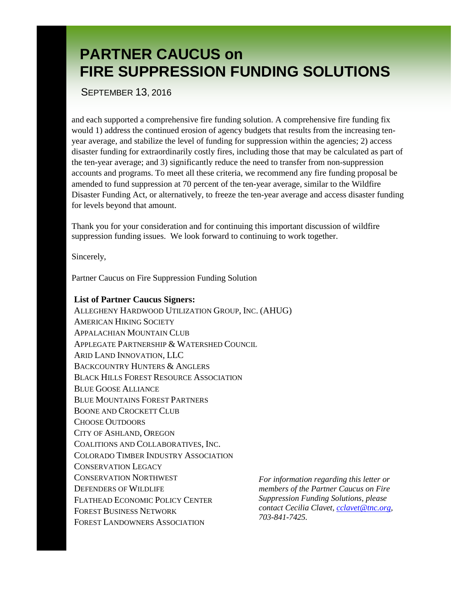SEPTEMBER 13, 2016

and each supported a comprehensive fire funding solution. A comprehensive fire funding fix would 1) address the continued erosion of agency budgets that results from the increasing tenyear average, and stabilize the level of funding for suppression within the agencies; 2) access disaster funding for extraordinarily costly fires, including those that may be calculated as part of the ten-year average; and 3) significantly reduce the need to transfer from non-suppression accounts and programs. To meet all these criteria, we recommend any fire funding proposal be amended to fund suppression at 70 percent of the ten-year average, similar to the Wildfire Disaster Funding Act, or alternatively, to freeze the ten-year average and access disaster funding for levels beyond that amount.

Thank you for your consideration and for continuing this important discussion of wildfire suppression funding issues. We look forward to continuing to work together.

Sincerely,

Partner Caucus on Fire Suppression Funding Solution

#### **List of Partner Caucus Signers:**

ALLEGHENY HARDWOOD UTILIZATION GROUP, INC. (AHUG) AMERICAN HIKING SOCIETY APPALACHIAN MOUNTAIN CLUB APPLEGATE PARTNERSHIP & WATERSHED COUNCIL ARID LAND INNOVATION, LLC BACKCOUNTRY HUNTERS & ANGLERS BLACK HILLS FOREST RESOURCE ASSOCIATION BLUE GOOSE ALLIANCE BLUE MOUNTAINS FOREST PARTNERS BOONE AND CROCKETT CLUB CHOOSE OUTDOORS CITY OF ASHLAND, OREGON COALITIONS AND COLLABORATIVES, INC. COLORADO TIMBER INDUSTRY ASSOCIATION CONSERVATION LEGACY CONSERVATION NORTHWEST DEFENDERS OF WILDLIFE FLATHEAD ECONOMIC POLICY CENTER FOREST BUSINESS NETWORK FOREST LANDOWNERS ASSOCIATION

*For information regarding this letter or members of the Partner Caucus on Fire Suppression Funding Solutions, please contact Cecilia Clavet, [cclavet@tnc.org,](mailto:cclavet@tnc.org) 703-841-7425.*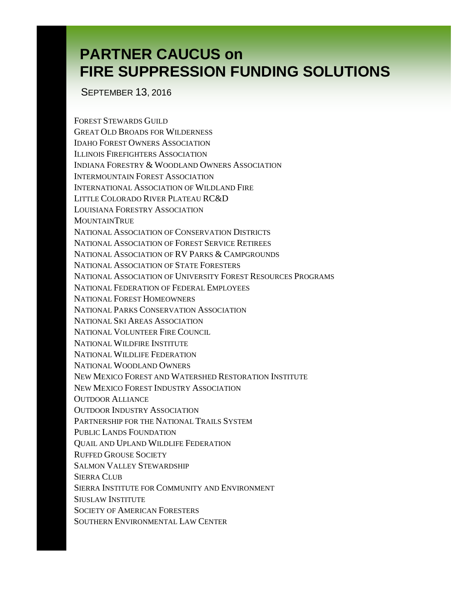SEPTEMBER 13, 2016

FOREST STEWARDS GUILD GREAT OLD BROADS FOR WILDERNESS IDAHO FOREST OWNERS ASSOCIATION ILLINOIS FIREFIGHTERS ASSOCIATION INDIANA FORESTRY & WOODLAND OWNERS ASSOCIATION INTERMOUNTAIN FOREST ASSOCIATION INTERNATIONAL ASSOCIATION OF WILDLAND FIRE LITTLE COLORADO RIVER PLATEAU RC&D LOUISIANA FORESTRY ASSOCIATION **MOUNTAINTRUE** NATIONAL ASSOCIATION OF CONSERVATION DISTRICTS NATIONAL ASSOCIATION OF FOREST SERVICE RETIREES NATIONAL ASSOCIATION OF RV PARKS & CAMPGROUNDS NATIONAL ASSOCIATION OF STATE FORESTERS NATIONAL ASSOCIATION OF UNIVERSITY FOREST RESOURCES PROGRAMS NATIONAL FEDERATION OF FEDERAL EMPLOYEES NATIONAL FOREST HOMEOWNERS NATIONAL PARKS CONSERVATION ASSOCIATION NATIONAL SKI AREAS ASSOCIATION NATIONAL VOLUNTEER FIRE COUNCIL NATIONAL WILDFIRE INSTITUTE NATIONAL WILDLIFE FEDERATION NATIONAL WOODLAND OWNERS NEW MEXICO FOREST AND WATERSHED RESTORATION INSTITUTE NEW MEXICO FOREST INDUSTRY ASSOCIATION OUTDOOR ALLIANCE OUTDOOR INDUSTRY ASSOCIATION PARTNERSHIP FOR THE NATIONAL TRAILS SYSTEM PUBLIC LANDS FOUNDATION QUAIL AND UPLAND WILDLIFE FEDERATION RUFFED GROUSE SOCIETY SALMON VALLEY STEWARDSHIP SIERRA CLUB SIERRA INSTITUTE FOR COMMUNITY AND ENVIRONMENT SIUSLAW INSTITUTE SOCIETY OF AMERICAN FORESTERS SOUTHERN ENVIRONMENTAL LAW CENTER